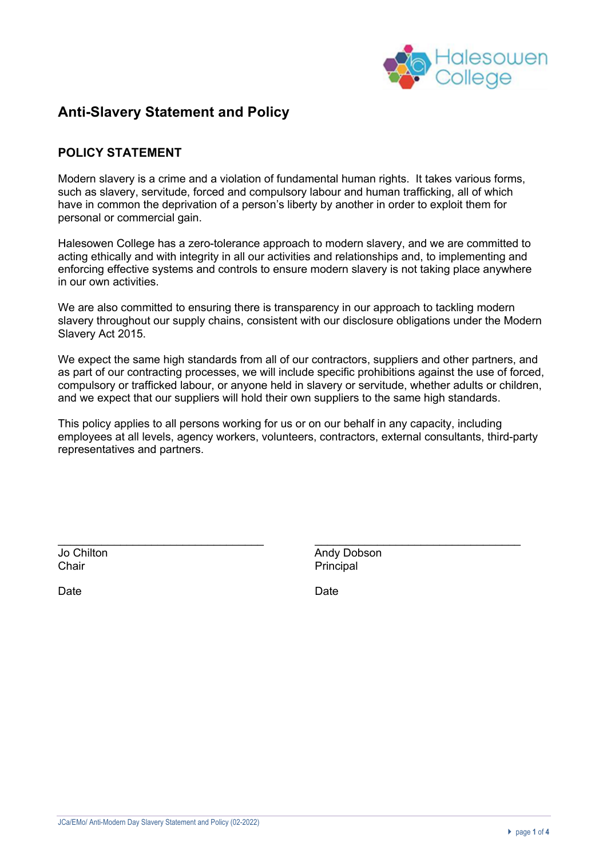

# **Anti-Slavery Statement and Policy**

## **POLICY STATEMENT**

Modern slavery is a crime and a violation of fundamental human rights. It takes various forms, such as slavery, servitude, forced and compulsory labour and human trafficking, all of which have in common the deprivation of a person's liberty by another in order to exploit them for personal or commercial gain.

Halesowen College has a zero-tolerance approach to modern slavery, and we are committed to acting ethically and with integrity in all our activities and relationships and, to implementing and enforcing effective systems and controls to ensure modern slavery is not taking place anywhere in our own activities.

We are also committed to ensuring there is transparency in our approach to tackling modern slavery throughout our supply chains, consistent with our disclosure obligations under the Modern Slavery Act 2015.

We expect the same high standards from all of our contractors, suppliers and other partners, and as part of our contracting processes, we will include specific prohibitions against the use of forced, compulsory or trafficked labour, or anyone held in slavery or servitude, whether adults or children, and we expect that our suppliers will hold their own suppliers to the same high standards.

This policy applies to all persons working for us or on our behalf in any capacity, including employees at all levels, agency workers, volunteers, contractors, external consultants, third-party representatives and partners.

\_\_\_\_\_\_\_\_\_\_\_\_\_\_\_\_\_\_\_\_\_\_\_\_\_\_\_\_\_\_\_\_\_ \_\_\_\_\_\_\_\_\_\_\_\_\_\_\_\_\_\_\_\_\_\_\_\_\_\_\_\_\_\_\_\_\_

Chair **Principal** 

Date **Date Date Date Date Date** 

Jo Chilton **Andy Dobson**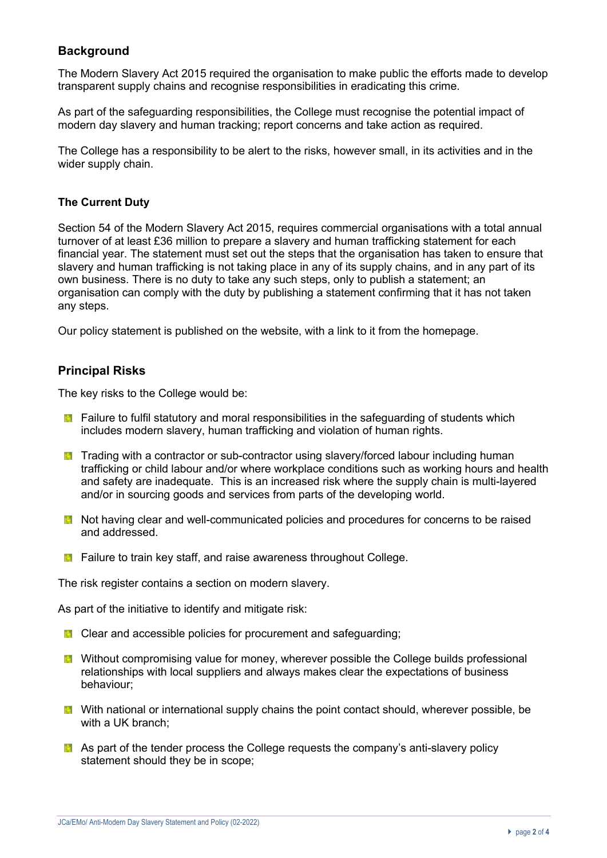#### **Background**

The Modern Slavery Act 2015 required the organisation to make public the efforts made to develop transparent supply chains and recognise responsibilities in eradicating this crime.

As part of the safeguarding responsibilities, the College must recognise the potential impact of modern day slavery and human tracking; report concerns and take action as required.

The College has a responsibility to be alert to the risks, however small, in its activities and in the wider supply chain.

#### **The Current Duty**

Section 54 of the Modern Slavery Act 2015, requires commercial organisations with a total annual turnover of at least £36 million to prepare a slavery and human trafficking statement for each financial year. The statement must set out the steps that the organisation has taken to ensure that slavery and human trafficking is not taking place in any of its supply chains, and in any part of its own business. There is no duty to take any such steps, only to publish a statement; an organisation can comply with the duty by publishing a statement confirming that it has not taken any steps.

Our policy statement is published on the website, with a link to it from the homepage.

### **Principal Risks**

The key risks to the College would be:

- **Failure to fulfil statutory and moral responsibilities in the safeguarding of students which** includes modern slavery, human trafficking and violation of human rights.
- **T** Trading with a contractor or sub-contractor using slavery/forced labour including human trafficking or child labour and/or where workplace conditions such as working hours and health and safety are inadequate. This is an increased risk where the supply chain is multi-layered and/or in sourcing goods and services from parts of the developing world.
- **Not having clear and well-communicated policies and procedures for concerns to be raised** and addressed.
- **Failure to train key staff, and raise awareness throughout College.**

The risk register contains a section on modern slavery.

As part of the initiative to identify and mitigate risk:

- **Clear and accessible policies for procurement and safeguarding;**
- **M** Without compromising value for money, wherever possible the College builds professional relationships with local suppliers and always makes clear the expectations of business behaviour;
- **Mith national or international supply chains the point contact should, wherever possible, be** with a UK branch;
- **As part of the tender process the College requests the company's anti-slavery policy** statement should they be in scope;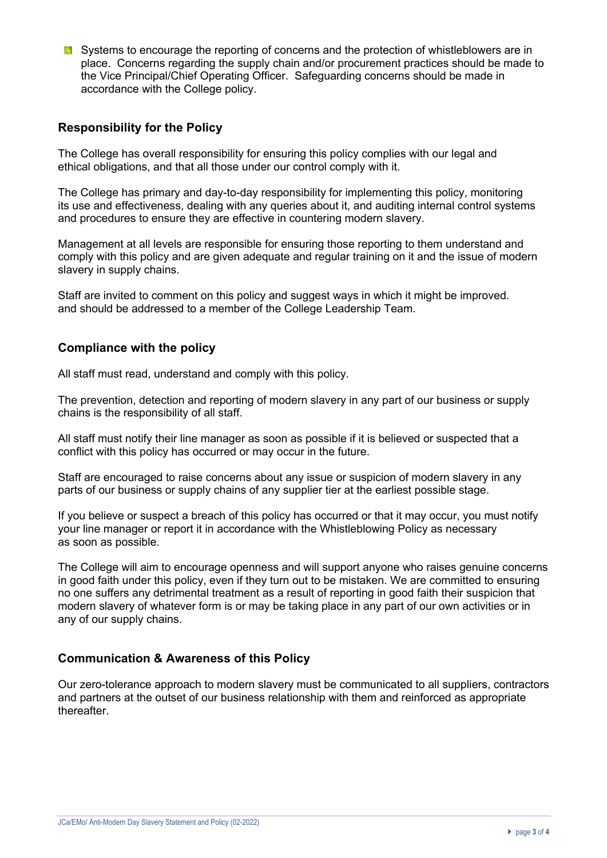**E** Systems to encourage the reporting of concerns and the protection of whistleblowers are in place. Concerns regarding the supply chain and/or procurement practices should be made to the Vice Principal/Chief Operating Officer. Safeguarding concerns should be made in accordance with the College policy.

#### **Responsibility for the Policy**

The College has overall responsibility for ensuring this policy complies with our legal and ethical obligations, and that all those under our control comply with it.

The College has primary and day-to-day responsibility for implementing this policy, monitoring its use and effectiveness, dealing with any queries about it, and auditing internal control systems and procedures to ensure they are effective in countering modern slavery.

Management at all levels are responsible for ensuring those reporting to them understand and comply with this policy and are given adequate and regular training on it and the issue of modern slavery in supply chains.

Staff are invited to comment on this policy and suggest ways in which it might be improved. and should be addressed to a member of the College Leadership Team.

#### **Compliance with the policy**

All staff must read, understand and comply with this policy.

The prevention, detection and reporting of modern slavery in any part of our business or supply chains is the responsibility of all staff.

All staff must notify their line manager as soon as possible if it is believed or suspected that a conflict with this policy has occurred or may occur in the future.

Staff are encouraged to raise concerns about any issue or suspicion of modern slavery in any parts of our business or supply chains of any supplier tier at the earliest possible stage.

If you believe or suspect a breach of this policy has occurred or that it may occur, you must notify your line manager or report it in accordance with the Whistleblowing Policy as necessary as soon as possible.

The College will aim to encourage openness and will support anyone who raises genuine concerns in good faith under this policy, even if they turn out to be mistaken. We are committed to ensuring no one suffers any detrimental treatment as a result of reporting in good faith their suspicion that modern slavery of whatever form is or may be taking place in any part of our own activities or in any of our supply chains.

#### **Communication & Awareness of this Policy**

Our zero-tolerance approach to modern slavery must be communicated to all suppliers, contractors and partners at the outset of our business relationship with them and reinforced as appropriate thereafter.